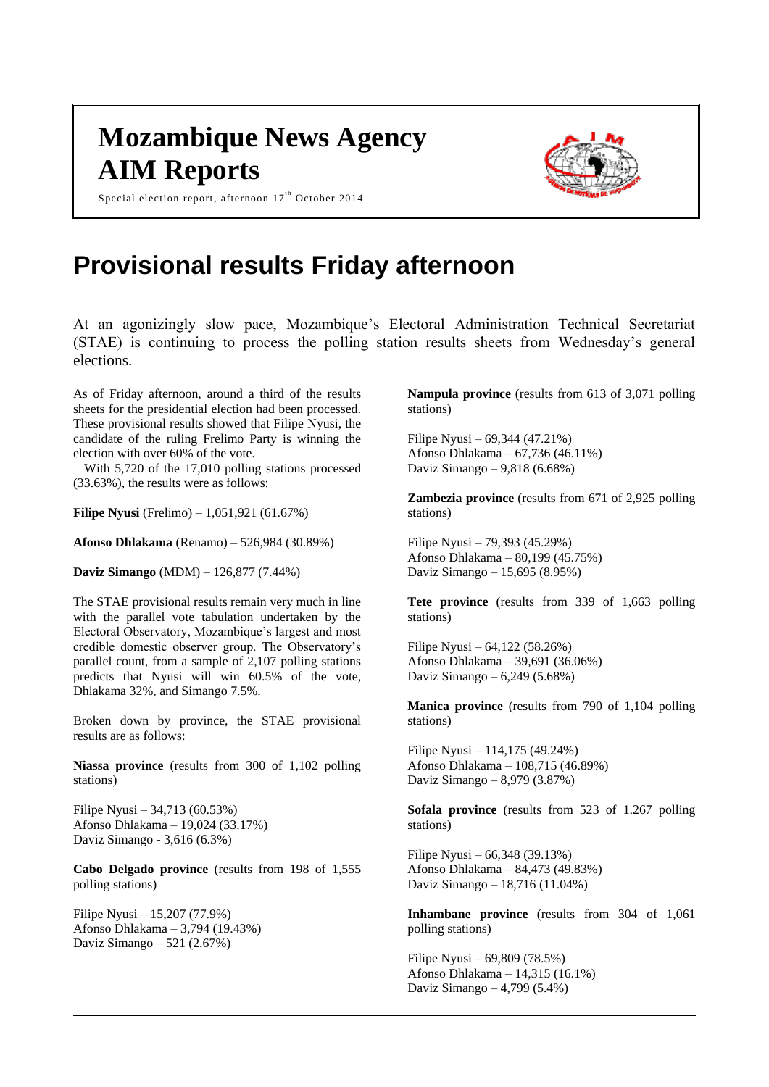## **Mozambique News Agency AIM Reports**



Special election report, afternoon  $17^{\rm th}$  October 2014

## **Provisional results Friday afternoon**

At an agonizingly slow pace, Mozambique's Electoral Administration Technical Secretariat (STAE) is continuing to process the polling station results sheets from Wednesday's general elections.

As of Friday afternoon, around a third of the results sheets for the presidential election had been processed. These provisional results showed that Filipe Nyusi, the candidate of the ruling Frelimo Party is winning the election with over 60% of the vote.

With 5,720 of the 17,010 polling stations processed (33.63%), the results were as follows:

**Filipe Nyusi** (Frelimo) – 1,051,921 (61.67%)

**Afonso Dhlakama** (Renamo) – 526,984 (30.89%)

**Daviz Simango** (MDM) – 126,877 (7.44%)

The STAE provisional results remain very much in line with the parallel vote tabulation undertaken by the Electoral Observatory, Mozambique's largest and most credible domestic observer group. The Observatory's parallel count, from a sample of 2,107 polling stations predicts that Nyusi will win 60.5% of the vote, Dhlakama 32%, and Simango 7.5%.

Broken down by province, the STAE provisional results are as follows:

**Niassa province** (results from 300 of 1,102 polling stations)

Filipe Nyusi – 34,713 (60.53%) Afonso Dhlakama – 19,024 (33.17%) Daviz Simango - 3,616 (6.3%)

**Cabo Delgado province** (results from 198 of 1,555 polling stations)

Filipe Nyusi – 15,207 (77.9%) Afonso Dhlakama – 3,794 (19.43%) Daviz Simango – 521 (2.67%)

**Nampula province** (results from 613 of 3,071 polling stations)

Filipe Nyusi – 69,344 (47.21%) Afonso Dhlakama – 67,736 (46.11%) Daviz Simango – 9,818 (6.68%)

**Zambezia province** (results from 671 of 2,925 polling stations)

Filipe Nyusi – 79,393 (45.29%) Afonso Dhlakama – 80,199 (45.75%) Daviz Simango – 15,695 (8.95%)

**Tete province** (results from 339 of 1,663 polling stations)

Filipe Nyusi – 64,122 (58.26%) Afonso Dhlakama – 39,691 (36.06%) Daviz Simango – 6,249 (5.68%)

**Manica province** (results from 790 of 1,104 polling stations)

Filipe Nyusi – 114,175 (49.24%) Afonso Dhlakama – 108,715 (46.89%) Daviz Simango – 8,979 (3.87%)

**Sofala province** (results from 523 of 1.267 polling stations)

Filipe Nyusi – 66,348 (39.13%) Afonso Dhlakama – 84,473 (49.83%) Daviz Simango – 18,716 (11.04%)

**Inhambane province** (results from 304 of 1,061 polling stations)

Filipe Nyusi – 69,809 (78.5%) Afonso Dhlakama – 14,315 (16.1%) Daviz Simango – 4,799 (5.4%)